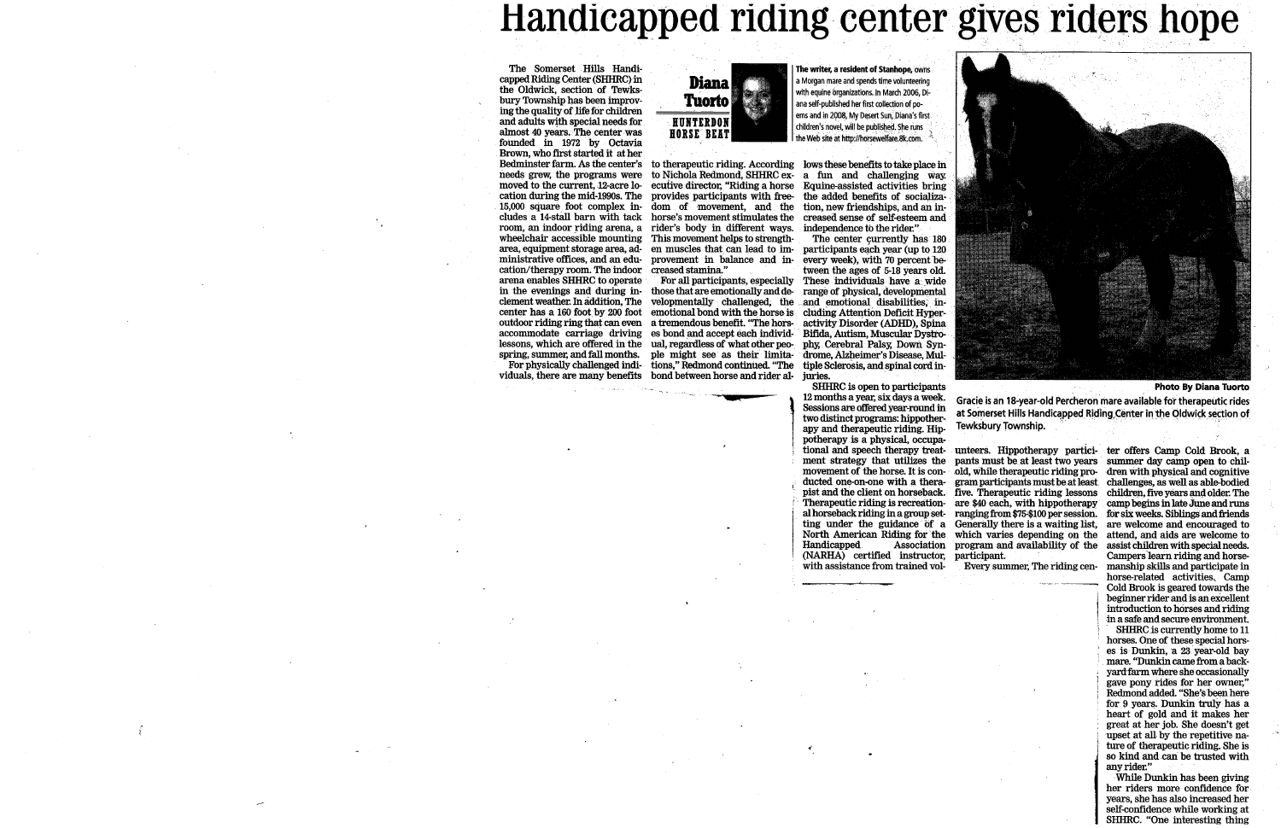# Handicapped riding center gives riders hope

Diana

Tuorto

**HUNTERDON** 

**HORSE BEAT** 

The Somerset Hills Handicapped Riding Center (SHHRC) in the Oldwick, section of Tewksbury Township has been improving the quality of life for children and adults with special needs for almost 40 years. The center was founded in 1972 by Octavia Brown, who first started it at her Bedminster farm. As the center's to therapeutic riding. According lows these benefits to take place in needs grew, the programs were to Nichola Redmond, SHHRC ex- a fun and challenging way. moved to the current, 12-acre logical ecutive director, "Riding a horse Equine-assisted activities bring cation during the mid-1990s. The provides participants with free- the added benefits of socializa-15,000 square foot complex in dom of movement, and the tion, new friendships, and an includes a 14-stall barn with tack horse's movement stimulates the creased sense of self-esteem and room, an indoor riding arena, a rider's body in different ways. independence to the rider." wheelchair accessible mounting This movement helps to strengtharea, equipment storage area, ad- en muscles that can lead to im- participants each year (up to 120 ministrative offices, and an edu- provement in balance and in- every week), with 70 percent becation/therapy room. The indoor creased stamina." arena enables SHHRC to operate For all participants, especially These individuals have a wide in the evenings and during in-<br>those that are emotionally and de-<br>range of physical, developmental clement weather In addition, The velopmentally challenged, the and emotional disabilities, incenter has a 160 foot by 200 foot emotional bond with the horse is cluding Attention Deficit Hyperoutdoor riding ring that can even a tremendous benefit. "The hors- activity Disorder (ADHD), Spina accommodate carriage driving es bond and accept each individ- Bifida, Autism, Muscular Dystrolessons, which are offered in the ual, regardless of what other peo- phy, Cerebral Palsy, Down Synspring, summer, and fall months. ple might see as their limita- drome, Alzheimer's Disease, Mul-For physically challenged indi- tions," Redmond continued. "The

viduals, there are many benefits bond between horse and rider al-juries.

The writer, a resident of Stanhope, owns a Morgan mare and spends time volunteering with equine organizations. In March 2006. Diana self-published her first collection of poems and in 2008, My Desert Sun, Diana's first children's novel, will be published. She runs the Web site at http://horsewelfare.8k.com.

The center currently has 180 tween the ages of 5-18 years old. tiple Sclerosis, and spinal cord in-

SHHRC is open to participants 12 months a year, six days a week. Sessions are offered year-round in two distinct programs: hippotherapy and therapeutic riding. Hippotherapy is a physical, occupational and speech therapy treat-**Handicapped** (NARHA) certified instructor, participant. with assistance from trained vol-



**Photo By Diana Tuorto** 

Gracie is an 18-year-old Percheron mare available for therapeutic rides at Somerset Hills Handicapped Riding Center in the Oldwick section of Tewksbury Township.

unteers. Hippotherapy partici- ter offers Camp Cold Brook, a ment strategy that utilizes the pants must be at least two years summer day camp open to chilmovement of the horse. It is con-old, while the rapeutic riding pro-dren with physical and cognitive ducted one-on-one with a thera- gram participants must be at least challenges, as well as able-bodied pist and the client on horseback. five. Therapeutic riding lessons children, five years and older. The The rapeutic riding is recreation are \$40 each, with hippotherapy camp begins in late June and runs al horseback riding in a group set- ranging from \$75-\$100 per session. for six weeks, Siblings and friends ting under the guidance of a Generally there is a waiting list, are welcome and encouraged to North American Riding for the which varies depending on the attend, and aids are welcome to Association program and availability of the assist children with special needs.

Every summer, The riding cen-

Campers learn riding and horsemanship skills and participate in horse-related activities. Camp Cold Brook is geared towards the beginner rider and is an excellent introduction to horses and riding in a safe and secure environment.

SHHRC is currently home to 11 horses. One of these special horses is Dunkin, a 23 year-old bay mare. "Dunkin came from a backyard farm where she occasionally gave pony rides for her owner," Redmond added. "She's been here for 9 years. Dunkin truly has a heart of gold and it makes her great at her job. She doesn't get upset at all by the repetitive nature of the rapeutic riding. She is so kind and can be trusted with any rider."

While Dunkin has been giving her riders more confidence for years, she has also increased her self-confidence while working at SHHRC. "One interesting thing